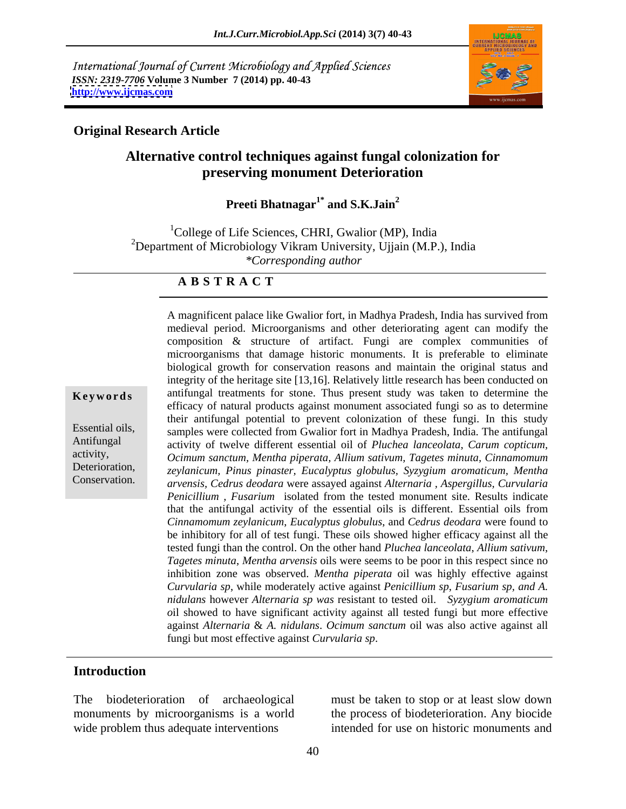International Journal of Current Microbiology and Applied Sciences *ISSN: 2319-7706* **Volume 3 Number 7 (2014) pp. 40-43 <http://www.ijcmas.com>**



## **Original Research Article**

## **Alternative control techniques against fungal colonization for preserving monument Deterioration**

**Preeti Bhatnagar1\* and S.K.Jain<sup>2</sup>**

 $1^1$ College of Life Sciences, CHRI, Gwalior (MP), India <sup>2</sup>Department of Microbiology Vikram University, Ujjain (M.P.), India *\*Corresponding author* 

### **A B S T R A C T**

**Keywords** antifungal treatments for stone. Thus present study was taken to determine the Essential oils, samples were collected from Gwalior fort in Madhya Pradesh, India. The antifungal Antifungal activity of twelve different essential oil of *Pluchea lanceolata*, *Carum copticum,* activity, *Ocimum sanctum, Mentha piperata, Allium sativum, Tagetes minuta, Cinnamomum*  Deterioration, *zeylanicum, Pinus pinaster, Eucalyptus globulus, Syzygium aromaticum, Mentha* Conservation. *arvensis, Cedrus deodara* were assayed against *Alternaria , Aspergillus, Curvularia* A magnificent palace like Gwalior fort, in Madhya Pradesh, India has survived from medieval period. Microorganisms and other deteriorating agent can modify the composition & structure of artifact. Fungi are complex communities of microorganisms that damage historic monuments. It is preferable to eliminate biological growth for conservation reasons and maintain the original status and integrity of the heritage site [13,16]. Relatively little research has been conducted on efficacy of natural products against monument associated fungi so as to determine their antifungal potential to prevent colonization of these fungi. In this study *Penicillium , Fusarium* isolated from the tested monument site. Results indicate that the antifungal activity of the essential oils is different. Essential oils from *Cinnamomum zeylanicum*, *Eucalyptus globulus*, and *Cedrus deodara* were found to be inhibitory for all of test fungi. These oils showed higher efficacy against all the tested fungi than the control. On the other hand *Pluchea lanceolata*, *Allium sativum*, *Tagetes minuta*, *Mentha arvensis* oils were seems to be poor in this respect since no inhibition zone was observed. *Mentha piperata* oil was highly effective against *Curvularia sp*, while moderately active against *Penicillium sp*, *Fusarium sp, and A. nidulans* however *Alternaria sp was* resistant to tested oil. *Syzygium aromaticum o*il showed to have significant activity against all tested fungi but more effective against *Alternaria* & *A. nidulans*. *Ocimum sanctum* oil was also active against all fungi but most effective against *Curvularia sp*.

### **Introduction**

The biodeterioration of archaeological must be taken to stop or at least slow down monuments by microorganisms is a world the process of biodeterioration. Any biocide wide problem thus adequate interventions

intended for use on historic monuments and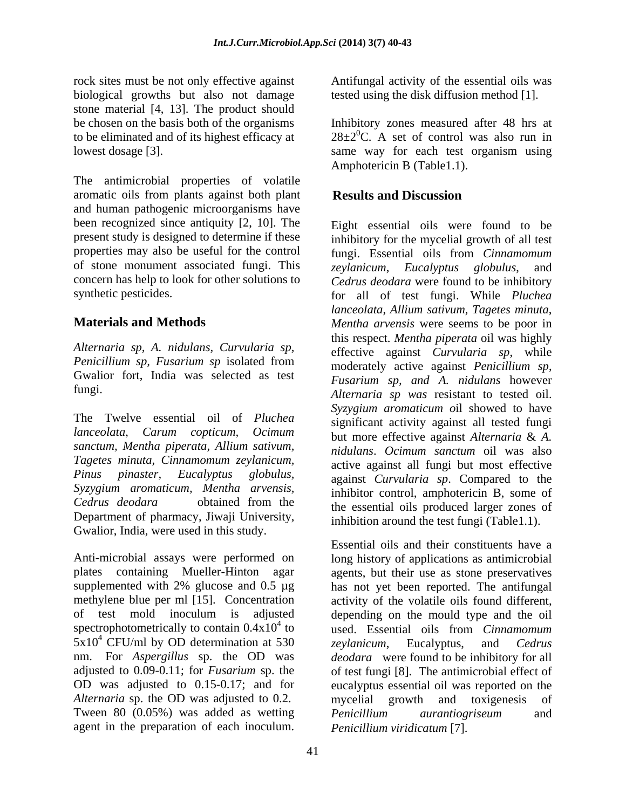rock sites must be not only effective against **Antifungal activity of the essential oils was** biological growths but also not damage tested using the disk diffusion method [1]. stone material [4, 13]. The product should to be eliminated and of its highest efficacy at

aromatic oils from plants against both plant Results and Discussion and human pathogenic microorganisms have been recognized since antiquity [2, 10]. The Eight essential oils were found to be present study is designed to determine if these inhibitory for the mycelial growth of all test properties may also be useful for the control fungi. Essential oils from *Cinnamomum*  of stone monument associated fungi. This *zeylanicum Eucalyntus olobulus* and concern has help to look for other solutions to *Cedrus deodara* were found to be inhibitory

*Alternaria sp, A. nidulans, Curvularia sp, Penicillium sp, Fusarium sp* isolated from Gwalior fort, India was selected as test

The Twelve essential oil of *Pluchea sanctum, Mentha piperata, Allium sativum, Tagetes minuta, Cinnamomum zeylanicum, Syzygium aromaticum, Mentha arvensis,* Department of pharmacy, Jiwaji University, Gwalior, India, were used in this study.

Anti-microbial assays were performed on  $5x10^4$  CFU/ml by OD determination at 530 zeylanicum, Eucalyptus, and Cedrus Tween 80 (0.05%) was added as wetting Penicillium aurantiogriseum and

be chosen on the basis both of the organisms Inhibitory zones measured after 48 hrs at lowest dosage [3].<br>
The antimicrobial properties of volatile<br>
The antimicrobial properties of volatile  $28\pm2\degree$ C. A set of control was also run in same way for each test organism using Amphotericin B (Table1.1).

## **Results and Discussion**

synthetic pesticides. for all of test fungi. While *Pluchea*  **Materials and Methods** *Mentha arvensis* were seems to be poor in fungi. *Alternaria sp was* resistant to tested oil. *lanceolata*, *Carum copticum, Ocimum Pinus pinaster, Eucalyptus globulus,* against *Curvularia sp*. Compared to the *Cedrus deodara* obtained from the the essential oils produced larger zones of most is exactly the presention of the essential of the essential of the essential of the essential oils was the presential problem of the essential problem and the presential of the presential of the essential of the esse *zeylanicum, Eucalyptus globulus, lanceolata*, *Allium sativum*, *Tagetes minuta*, this respect. *Mentha piperata* oil was highly effective against *Curvularia sp*, while moderately active against *Penicillium sp*, *Fusarium sp, and A. nidulans* however *Syzygium aromaticum o*il showed to have significant activity against all tested fungi but more effective against *Alternaria* & *A. nidulans*. *Ocimum sanctum* oil was also active against all fungi but most effective inhibitor control, amphotericin B, some of the essential oils produced larger zones of inhibition around the test fungi (Table1.1).

plates containing Mueller-Hinton agar agents, but their use as stone preservatives supplemented with 2% glucose and 0.5 µg has not yet been reported. The antifungal methylene blue per ml [15]. Concentration activity of the volatile oils found different, of test mold inoculum is adjusted depending on the mould type and the oil spectrophotometrically to contain  $0.4x10^4$  to used. Essential oils from *Cinnamomum* nm. For *Aspergillus* sp. the OD was *deodara* were found to be inhibitory for all adjusted to 0.09-0.11; for *Fusarium* sp. the of test fungi [8]. The antimicrobial effect of OD was adjusted to 0.15-0.17; and for eucalyptus essential oil was reported on the *Alternaria* sp. the OD was adjusted to 0.2. mycelial growth and toxigenesis of Essential oils and their constituents have a long history of applications as antimicrobial *zeylanicum*, Eucalyptus, and *Cedrus Penicillium aurantiogriseum* and *Penicillium viridicatum* [7].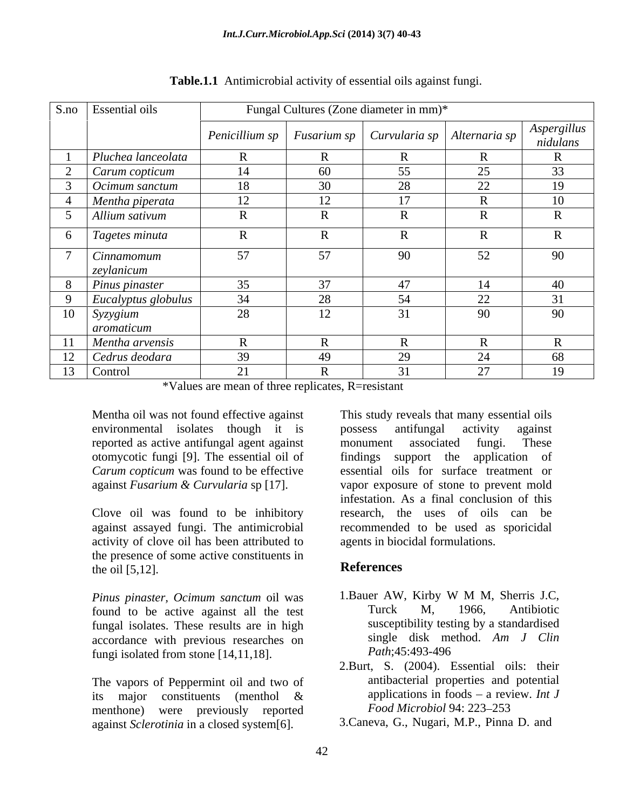| S.no Essential oils<br>Fungal Cultures (Zone diameter in mm)* |                |                                                              |                |                     |                         |
|---------------------------------------------------------------|----------------|--------------------------------------------------------------|----------------|---------------------|-------------------------|
|                                                               |                | Penicillium sp   Fusarium sp   Curvularia sp   Alternaria sp |                |                     | Aspergillus<br>nidulans |
| Pluchea lanceolata                                            |                |                                                              |                |                     |                         |
| Carum copticum                                                | 14             | 60                                                           | 55             | $\sim$<br>ZJ.       | $\Omega$<br>33.         |
| $\int$ Ocimum sanctum                                         | 18             | 30                                                           | 28             | 22                  | 19                      |
| Mentha piperata                                               | 12             | $\sim$                                                       | 1 <sub>7</sub> |                     | 10                      |
| Allium sativum                                                | D              | $\sqrt{ }$                                                   |                |                     |                         |
| $\vert$ Tagetes minuta                                        | $\overline{R}$ | - Ly                                                         |                |                     |                         |
| Cinnamomum                                                    | 57             | 57                                                           | 90             | 52                  | 90                      |
| zeylanicum                                                    |                |                                                              |                |                     |                         |
| Pinus pinaster<br>8                                           | 35             | 37                                                           | $\overline{A}$ |                     | 40                      |
| Eucalyptus globulus                                           | 34             | 28                                                           |                | 22<br>22            | $\sim$ 1                |
| 10<br>Syzygium                                                | 28             | $\sim$                                                       | $\bigcap$ 1    | 90                  | 90                      |
| aromaticum                                                    |                |                                                              |                |                     |                         |
| Mentha arvensis                                               | $\overline{R}$ |                                                              |                |                     |                         |
| Cedrus deodara<br>12                                          | 39             | 49                                                           | $\Omega$       | $\bigcap$ $\bigcap$ | 68                      |
| 13 Control                                                    | 21             |                                                              |                | $\mathcal{L}$       | 19                      |

**Table.1.1** Antimicrobial activity of essential oils against fungi.

\*Values are mean of three replicates, R=resistant

Mentha oil was not found effective against This study reveals that many essential oils environmental isolates though it is possess antifungal activity against reported as active antifungal agent against otomycotic fungi [9]. The essential oil of

activity of clove oil has been attributed to the presence of some active constituents in<br>the oil [5,12] **References** the oil [5,12].

found to be active against all the test fungal isolates. These results are in high accordance with previous researches on single disk me<br>functional from stone [14 11 18] Path;45:493-496 fungi isolated from stone [14,11,18].

The vapors of Peppermint oil and two of menthone) were previously reported

*Carum copticum* was found to be effective essential oils for surface treatment or against *Fusarium & Curvularia* sp [17]. vapor exposure of stone to prevent mold Clove oil was found to be inhibitory research, the uses of oils can be against assayed fungi. The antimicrobial recommended to be used as sporicidal Mentha oil was not found effective against<br> **Screed as active antifungal agent axial is consess antifungal activity against<br>
environmental is observed as active antifungal agent against<br>
in the solution and the effective** possess antifungal activity against monument associated fungi. These findings support the application of infestation. As a final conclusion of this agents in biocidal formulations.

# **References**

- *Pinus pinaster, Ocimum sanctum* oil was 1. Bauer AW, Kirby W M M, Sherris J.C, found to be active against all the test Turck M. 1966. Antibiotic 1.Bauer AW, Kirby W M M, Sherris J.C, Turck M, 1966, Antibiotic susceptibility testing by a standardised single disk method. *Am J Clin Path*;45:493-496
- its major constituents (menthol & applications in foods a review. Int J 2.Burt, S. (2004). Essential oils: their antibacterial properties and potential applications in foods  $-$  a review. *Int J* Food Microbiol 94: 223-253
	- 3.Caneva, G., Nugari, M.P., Pinna D. and